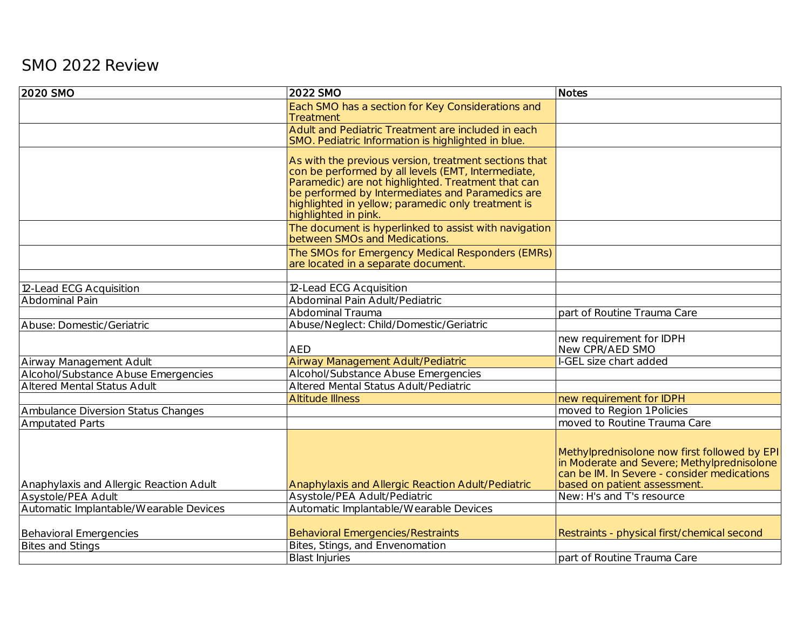## SMO 2022 Review

| Each SMO has a section for Key Considerations and<br><b>Treatment</b><br>Adult and Pediatric Treatment are included in each<br>SMO. Pediatric Information is highlighted in blue.<br>As with the previous version, treatment sections that<br>con be performed by all levels (EMT, Intermediate,<br>Paramedic) are not highlighted. Treatment that can<br>be performed by Intermediates and Paramedics are<br>highlighted in yellow; paramedic only treatment is<br>highlighted in pink.<br>The document is hyperlinked to assist with navigation<br>between SMOs and Medications.<br>The SMOs for Emergency Medical Responders (EMRs)<br>are located in a separate document.<br>12-Lead ECG Acquisition<br>12-Lead ECG Acquisition<br>Abdominal Pain Adult/Pediatric<br>Abdominal Pain<br>Abdominal Trauma<br>part of Routine Trauma Care<br>Abuse/Neglect: Child/Domestic/Geriatric<br>Abuse: Domestic/Geriatric<br>new requirement for IDPH<br>New CPR/AED SMO<br><b>AED</b><br>I-GEL size chart added<br>Airway Management Adult/Pediatric<br>Alcohol/Substance Abuse Emergencies<br>Alcohol/Substance Abuse Emergencies<br>Altered Mental Status Adult/Pediatric<br>Altered Mental Status Adult<br><b>Altitude Illness</b><br>new requirement for IDPH<br>moved to Region 1 Policies<br>Ambulance Diversion Status Changes<br>moved to Routine Trauma Care<br><b>Amputated Parts</b><br>can be IM. In Severe - consider medications<br>Anaphylaxis and Allergic Reaction Adult<br>Anaphylaxis and Allergic Reaction Adult/Pediatric<br>based on patient assessment.<br>Asystole/PEA Adult/Pediatric<br>New: H's and T's resource<br>Asystole/PEA Adult<br>Automatic Implantable/Wearable Devices<br>Automatic Implantable/Wearable Devices<br><b>Behavioral Emergencies/Restraints</b><br><b>Behavioral Emergencies</b><br>Restraints - physical first/chemical second<br>Bites, Stings, and Envenomation<br><b>Bites and Stings</b><br><b>Blast Injuries</b><br>part of Routine Trauma Care | 2020 SMO                | 2022 SMO | <b>Notes</b>                                                                               |
|---------------------------------------------------------------------------------------------------------------------------------------------------------------------------------------------------------------------------------------------------------------------------------------------------------------------------------------------------------------------------------------------------------------------------------------------------------------------------------------------------------------------------------------------------------------------------------------------------------------------------------------------------------------------------------------------------------------------------------------------------------------------------------------------------------------------------------------------------------------------------------------------------------------------------------------------------------------------------------------------------------------------------------------------------------------------------------------------------------------------------------------------------------------------------------------------------------------------------------------------------------------------------------------------------------------------------------------------------------------------------------------------------------------------------------------------------------------------------------------------------------------------------------------------------------------------------------------------------------------------------------------------------------------------------------------------------------------------------------------------------------------------------------------------------------------------------------------------------------------------------------------------------------------------------------------------------------------------------------------------------|-------------------------|----------|--------------------------------------------------------------------------------------------|
|                                                                                                                                                                                                                                                                                                                                                                                                                                                                                                                                                                                                                                                                                                                                                                                                                                                                                                                                                                                                                                                                                                                                                                                                                                                                                                                                                                                                                                                                                                                                                                                                                                                                                                                                                                                                                                                                                                                                                                                                   |                         |          |                                                                                            |
|                                                                                                                                                                                                                                                                                                                                                                                                                                                                                                                                                                                                                                                                                                                                                                                                                                                                                                                                                                                                                                                                                                                                                                                                                                                                                                                                                                                                                                                                                                                                                                                                                                                                                                                                                                                                                                                                                                                                                                                                   |                         |          |                                                                                            |
|                                                                                                                                                                                                                                                                                                                                                                                                                                                                                                                                                                                                                                                                                                                                                                                                                                                                                                                                                                                                                                                                                                                                                                                                                                                                                                                                                                                                                                                                                                                                                                                                                                                                                                                                                                                                                                                                                                                                                                                                   |                         |          |                                                                                            |
|                                                                                                                                                                                                                                                                                                                                                                                                                                                                                                                                                                                                                                                                                                                                                                                                                                                                                                                                                                                                                                                                                                                                                                                                                                                                                                                                                                                                                                                                                                                                                                                                                                                                                                                                                                                                                                                                                                                                                                                                   |                         |          |                                                                                            |
|                                                                                                                                                                                                                                                                                                                                                                                                                                                                                                                                                                                                                                                                                                                                                                                                                                                                                                                                                                                                                                                                                                                                                                                                                                                                                                                                                                                                                                                                                                                                                                                                                                                                                                                                                                                                                                                                                                                                                                                                   |                         |          |                                                                                            |
|                                                                                                                                                                                                                                                                                                                                                                                                                                                                                                                                                                                                                                                                                                                                                                                                                                                                                                                                                                                                                                                                                                                                                                                                                                                                                                                                                                                                                                                                                                                                                                                                                                                                                                                                                                                                                                                                                                                                                                                                   |                         |          |                                                                                            |
|                                                                                                                                                                                                                                                                                                                                                                                                                                                                                                                                                                                                                                                                                                                                                                                                                                                                                                                                                                                                                                                                                                                                                                                                                                                                                                                                                                                                                                                                                                                                                                                                                                                                                                                                                                                                                                                                                                                                                                                                   |                         |          |                                                                                            |
|                                                                                                                                                                                                                                                                                                                                                                                                                                                                                                                                                                                                                                                                                                                                                                                                                                                                                                                                                                                                                                                                                                                                                                                                                                                                                                                                                                                                                                                                                                                                                                                                                                                                                                                                                                                                                                                                                                                                                                                                   |                         |          |                                                                                            |
|                                                                                                                                                                                                                                                                                                                                                                                                                                                                                                                                                                                                                                                                                                                                                                                                                                                                                                                                                                                                                                                                                                                                                                                                                                                                                                                                                                                                                                                                                                                                                                                                                                                                                                                                                                                                                                                                                                                                                                                                   |                         |          |                                                                                            |
|                                                                                                                                                                                                                                                                                                                                                                                                                                                                                                                                                                                                                                                                                                                                                                                                                                                                                                                                                                                                                                                                                                                                                                                                                                                                                                                                                                                                                                                                                                                                                                                                                                                                                                                                                                                                                                                                                                                                                                                                   |                         |          |                                                                                            |
|                                                                                                                                                                                                                                                                                                                                                                                                                                                                                                                                                                                                                                                                                                                                                                                                                                                                                                                                                                                                                                                                                                                                                                                                                                                                                                                                                                                                                                                                                                                                                                                                                                                                                                                                                                                                                                                                                                                                                                                                   |                         |          |                                                                                            |
|                                                                                                                                                                                                                                                                                                                                                                                                                                                                                                                                                                                                                                                                                                                                                                                                                                                                                                                                                                                                                                                                                                                                                                                                                                                                                                                                                                                                                                                                                                                                                                                                                                                                                                                                                                                                                                                                                                                                                                                                   | Airway Management Adult |          |                                                                                            |
|                                                                                                                                                                                                                                                                                                                                                                                                                                                                                                                                                                                                                                                                                                                                                                                                                                                                                                                                                                                                                                                                                                                                                                                                                                                                                                                                                                                                                                                                                                                                                                                                                                                                                                                                                                                                                                                                                                                                                                                                   |                         |          |                                                                                            |
|                                                                                                                                                                                                                                                                                                                                                                                                                                                                                                                                                                                                                                                                                                                                                                                                                                                                                                                                                                                                                                                                                                                                                                                                                                                                                                                                                                                                                                                                                                                                                                                                                                                                                                                                                                                                                                                                                                                                                                                                   |                         |          |                                                                                            |
|                                                                                                                                                                                                                                                                                                                                                                                                                                                                                                                                                                                                                                                                                                                                                                                                                                                                                                                                                                                                                                                                                                                                                                                                                                                                                                                                                                                                                                                                                                                                                                                                                                                                                                                                                                                                                                                                                                                                                                                                   |                         |          |                                                                                            |
|                                                                                                                                                                                                                                                                                                                                                                                                                                                                                                                                                                                                                                                                                                                                                                                                                                                                                                                                                                                                                                                                                                                                                                                                                                                                                                                                                                                                                                                                                                                                                                                                                                                                                                                                                                                                                                                                                                                                                                                                   |                         |          |                                                                                            |
|                                                                                                                                                                                                                                                                                                                                                                                                                                                                                                                                                                                                                                                                                                                                                                                                                                                                                                                                                                                                                                                                                                                                                                                                                                                                                                                                                                                                                                                                                                                                                                                                                                                                                                                                                                                                                                                                                                                                                                                                   |                         |          |                                                                                            |
|                                                                                                                                                                                                                                                                                                                                                                                                                                                                                                                                                                                                                                                                                                                                                                                                                                                                                                                                                                                                                                                                                                                                                                                                                                                                                                                                                                                                                                                                                                                                                                                                                                                                                                                                                                                                                                                                                                                                                                                                   |                         |          | Methylprednisolone now first followed by EPI<br>in Moderate and Severe; Methylprednisolone |
|                                                                                                                                                                                                                                                                                                                                                                                                                                                                                                                                                                                                                                                                                                                                                                                                                                                                                                                                                                                                                                                                                                                                                                                                                                                                                                                                                                                                                                                                                                                                                                                                                                                                                                                                                                                                                                                                                                                                                                                                   |                         |          |                                                                                            |
|                                                                                                                                                                                                                                                                                                                                                                                                                                                                                                                                                                                                                                                                                                                                                                                                                                                                                                                                                                                                                                                                                                                                                                                                                                                                                                                                                                                                                                                                                                                                                                                                                                                                                                                                                                                                                                                                                                                                                                                                   |                         |          |                                                                                            |
|                                                                                                                                                                                                                                                                                                                                                                                                                                                                                                                                                                                                                                                                                                                                                                                                                                                                                                                                                                                                                                                                                                                                                                                                                                                                                                                                                                                                                                                                                                                                                                                                                                                                                                                                                                                                                                                                                                                                                                                                   |                         |          |                                                                                            |
|                                                                                                                                                                                                                                                                                                                                                                                                                                                                                                                                                                                                                                                                                                                                                                                                                                                                                                                                                                                                                                                                                                                                                                                                                                                                                                                                                                                                                                                                                                                                                                                                                                                                                                                                                                                                                                                                                                                                                                                                   |                         |          |                                                                                            |
|                                                                                                                                                                                                                                                                                                                                                                                                                                                                                                                                                                                                                                                                                                                                                                                                                                                                                                                                                                                                                                                                                                                                                                                                                                                                                                                                                                                                                                                                                                                                                                                                                                                                                                                                                                                                                                                                                                                                                                                                   |                         |          |                                                                                            |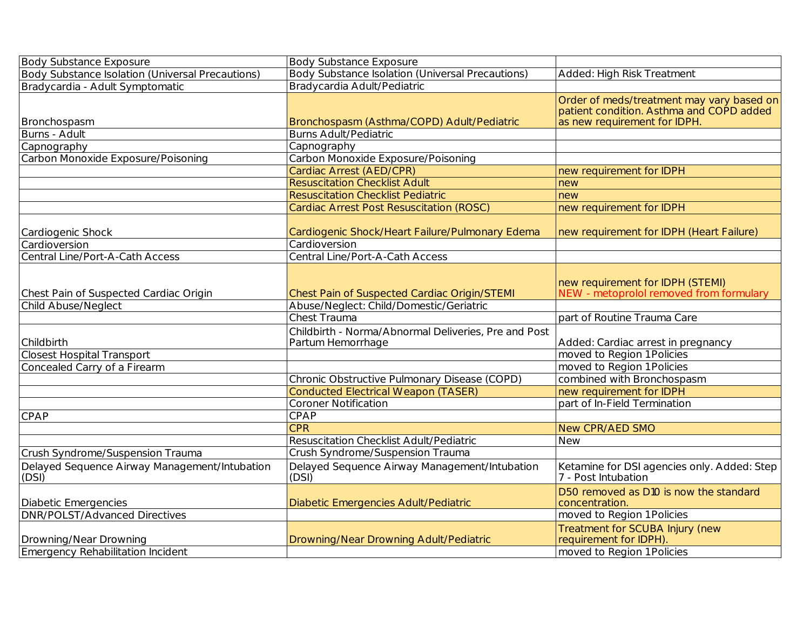| <b>Body Substance Exposure</b>                         | <b>Body Substance Exposure</b>                                            |                                                                                                                       |
|--------------------------------------------------------|---------------------------------------------------------------------------|-----------------------------------------------------------------------------------------------------------------------|
| Body Substance Isolation (Universal Precautions)       | Body Substance Isolation (Universal Precautions)                          | Added: High Risk Treatment                                                                                            |
| Bradycardia - Adult Symptomatic                        | Bradycardia Adult/Pediatric                                               |                                                                                                                       |
| Bronchospasm                                           | Bronchospasm (Asthma/COPD) Adult/Pediatric                                | Order of meds/treatment may vary based on<br>patient condition. Asthma and COPD added<br>as new requirement for IDPH. |
| Burns - Adult                                          | <b>Burns Adult/Pediatric</b>                                              |                                                                                                                       |
| Capnography                                            | Capnography                                                               |                                                                                                                       |
| Carbon Monoxide Exposure/Poisoning                     | Carbon Monoxide Exposure/Poisoning                                        |                                                                                                                       |
|                                                        | Cardiac Arrest (AED/CPR)                                                  | new requirement for IDPH                                                                                              |
|                                                        | <b>Resuscitation Checklist Adult</b>                                      | new                                                                                                                   |
|                                                        | <b>Resuscitation Checklist Pediatric</b>                                  | new                                                                                                                   |
|                                                        | Cardiac Arrest Post Resuscitation (ROSC)                                  | new requirement for IDPH                                                                                              |
| Cardiogenic Shock                                      | Cardiogenic Shock/Heart Failure/Pulmonary Edema                           | new requirement for IDPH (Heart Failure)                                                                              |
| Cardioversion                                          | Cardioversion                                                             |                                                                                                                       |
| Central Line/Port-A-Cath Access                        | Central Line/Port-A-Cath Access                                           |                                                                                                                       |
| Chest Pain of Suspected Cardiac Origin                 | Chest Pain of Suspected Cardiac Origin/STEMI                              | new requirement for IDPH (STEMI)<br>NEW - metoprolol removed from formulary                                           |
| <b>Child Abuse/Neglect</b>                             | Abuse/Neglect: Child/Domestic/Geriatric<br>Chest Trauma                   |                                                                                                                       |
|                                                        |                                                                           | part of Routine Trauma Care                                                                                           |
| Childbirth                                             | Childbirth - Norma/Abnormal Deliveries, Pre and Post<br>Partum Hemorrhage | Added: Cardiac arrest in pregnancy                                                                                    |
| <b>Closest Hospital Transport</b>                      |                                                                           | moved to Region 1 Policies                                                                                            |
| Concealed Carry of a Firearm                           |                                                                           | moved to Region 1 Policies                                                                                            |
|                                                        | Chronic Obstructive Pulmonary Disease (COPD)                              | combined with Bronchospasm                                                                                            |
|                                                        | <b>Conducted Electrical Weapon (TASER)</b>                                | new requirement for IDPH                                                                                              |
|                                                        | <b>Coroner Notification</b>                                               | part of In-Field Termination                                                                                          |
| CPAP                                                   | CPAP                                                                      |                                                                                                                       |
|                                                        | <b>CPR</b>                                                                | <b>New CPR/AED SMO</b>                                                                                                |
|                                                        | Resuscitation Checklist Adult/Pediatric                                   | <b>New</b>                                                                                                            |
| Crush Syndrome/Suspension Trauma                       | Crush Syndrome/Suspension Trauma                                          |                                                                                                                       |
| Delayed Sequence Airway Management/Intubation<br>(DSI) | Delayed Sequence Airway Management/Intubation<br>(DSI)                    | Ketamine for DSI agencies only. Added: Step<br>7 - Post Intubation                                                    |
| <b>Diabetic Emergencies</b>                            | Diabetic Emergencies Adult/Pediatric                                      | D50 removed as D10 is now the standard<br>concentration.                                                              |
| <b>DNR/POLST/Advanced Directives</b>                   |                                                                           | moved to Region 1 Policies                                                                                            |
| Drowning/Near Drowning                                 | Drowning/Near Drowning Adult/Pediatric                                    | Treatment for SCUBA Injury (new<br>requirement for IDPH).                                                             |
| Emergency Rehabilitation Incident                      |                                                                           | moved to Region 1 Policies                                                                                            |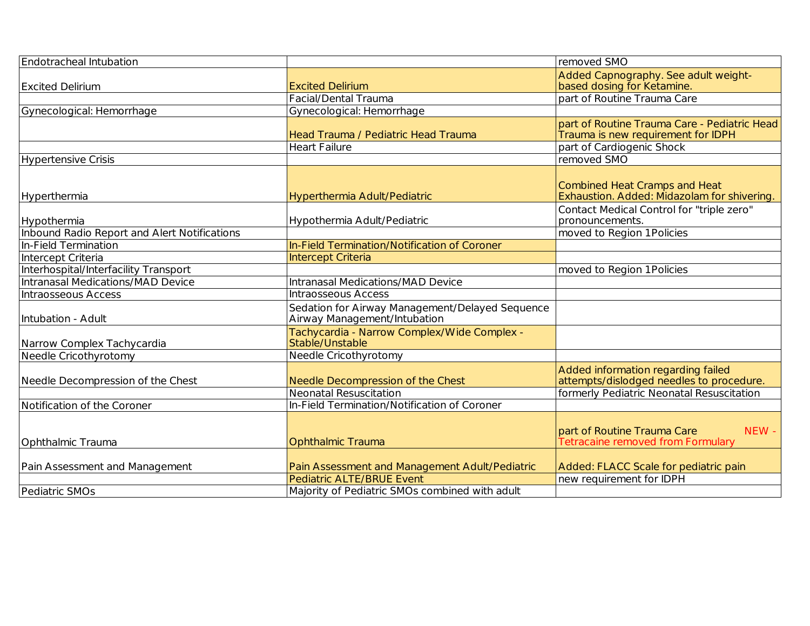| Endotracheal Intubation                      |                                                 | removed SMO                                  |
|----------------------------------------------|-------------------------------------------------|----------------------------------------------|
|                                              |                                                 | Added Capnography. See adult weight-         |
| <b>Excited Delirium</b>                      | <b>Excited Delirium</b>                         | based dosing for Ketamine.                   |
|                                              | Facial/Dental Trauma                            | part of Routine Trauma Care                  |
| Gynecological: Hemorrhage                    | Gynecological: Hemorrhage                       |                                              |
|                                              |                                                 | part of Routine Trauma Care - Pediatric Head |
|                                              | Head Trauma / Pediatric Head Trauma             | Trauma is new requirement for IDPH           |
|                                              | <b>Heart Failure</b>                            | part of Cardiogenic Shock                    |
| <b>Hypertensive Crisis</b>                   |                                                 | removed SMO                                  |
|                                              |                                                 |                                              |
|                                              |                                                 | <b>Combined Heat Cramps and Heat</b>         |
| Hyperthermia                                 | Hyperthermia Adult/Pediatric                    | Exhaustion. Added: Midazolam for shivering.  |
|                                              |                                                 | Contact Medical Control for "triple zero"    |
| Hypothermia                                  | Hypothermia Adult/Pediatric                     | pronouncements.                              |
| Inbound Radio Report and Alert Notifications |                                                 | moved to Region 1 Policies                   |
| In-Field Termination                         | In-Field Termination/Notification of Coroner    |                                              |
| Intercept Criteria                           | Intercept Criteria                              |                                              |
| Interhospital/Interfacility Transport        |                                                 | moved to Region 1 Policies                   |
| Intranasal Medications/MAD Device            | Intranasal Medications/MAD Device               |                                              |
| Intraosseous Access                          | Intraosseous Access                             |                                              |
|                                              | Sedation for Airway Management/Delayed Sequence |                                              |
| Intubation - Adult                           | Airway Management/Intubation                    |                                              |
|                                              | Tachycardia - Narrow Complex/Wide Complex -     |                                              |
| Narrow Complex Tachycardia                   | Stable/Unstable                                 |                                              |
| Needle Cricothyrotomy                        | Needle Cricothyrotomy                           |                                              |
|                                              |                                                 | Added information regarding failed           |
| Needle Decompression of the Chest            | Needle Decompression of the Chest               | attempts/dislodged needles to procedure.     |
|                                              | <b>Neonatal Resuscitation</b>                   | formerly Pediatric Neonatal Resuscitation    |
| Notification of the Coroner                  | In-Field Termination/Notification of Coroner    |                                              |
|                                              |                                                 |                                              |
|                                              |                                                 | part of Routine Trauma Care<br>NEW-          |
| Ophthalmic Trauma                            | <b>Ophthalmic Trauma</b>                        | Tetracaine removed from Formulary            |
|                                              |                                                 |                                              |
| Pain Assessment and Management               | Pain Assessment and Management Adult/Pediatric  | Added: FLACC Scale for pediatric pain        |
|                                              | <b>Pediatric ALTE/BRUE Event</b>                | new requirement for IDPH                     |
| Pediatric SMOs                               | Majority of Pediatric SMOs combined with adult  |                                              |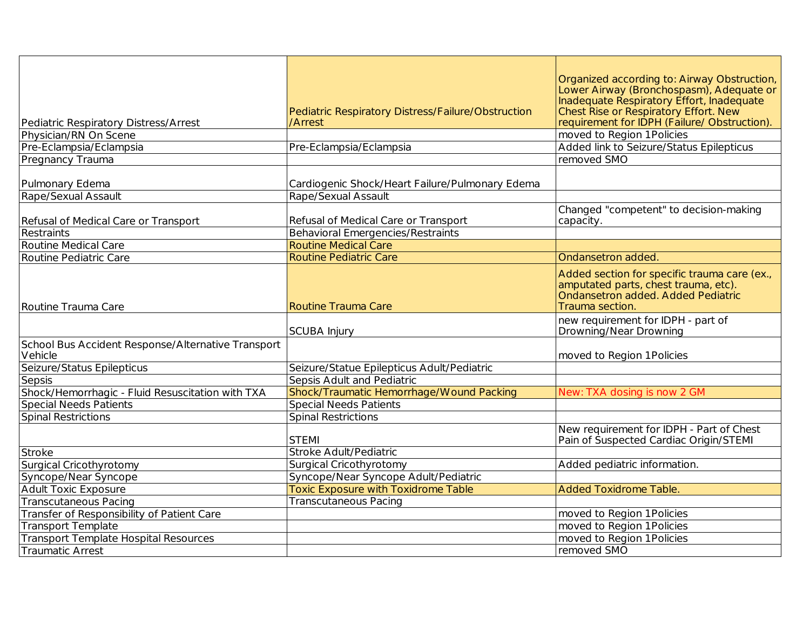|                                                    |                                                    | Organized according to: Airway Obstruction,<br>Lower Airway (Bronchospasm), Adequate or |
|----------------------------------------------------|----------------------------------------------------|-----------------------------------------------------------------------------------------|
|                                                    |                                                    | Inadequate Respiratory Effort, Inadequate                                               |
|                                                    | Pediatric Respiratory Distress/Failure/Obstruction | Chest Rise or Respiratory Effort. New<br>requirement for IDPH (Failure/ Obstruction).   |
| Pediatric Respiratory Distress/Arrest              | /Arrest                                            |                                                                                         |
| Physician/RN On Scene                              |                                                    | moved to Region 1 Policies                                                              |
| Pre-Eclampsia/Eclampsia                            | Pre-Eclampsia/Eclampsia                            | Added link to Seizure/Status Epilepticus                                                |
| Pregnancy Trauma                                   |                                                    | removed SMO                                                                             |
|                                                    |                                                    |                                                                                         |
| Pulmonary Edema                                    | Cardiogenic Shock/Heart Failure/Pulmonary Edema    |                                                                                         |
| Rape/Sexual Assault                                | Rape/Sexual Assault                                |                                                                                         |
| Refusal of Medical Care or Transport               | Refusal of Medical Care or Transport               | Changed "competent" to decision-making<br>capacity.                                     |
| Restraints                                         | Behavioral Emergencies/Restraints                  |                                                                                         |
| Routine Medical Care                               | <b>Routine Medical Care</b>                        |                                                                                         |
| Routine Pediatric Care                             | <b>Routine Pediatric Care</b>                      | Ondansetron added                                                                       |
|                                                    |                                                    |                                                                                         |
|                                                    |                                                    | Added section for specific trauma care (ex.,<br>amputated parts, chest trauma, etc).    |
|                                                    |                                                    | Ondansetron added. Added Pediatric                                                      |
| Routine Trauma Care                                | Routine Trauma Care                                | Trauma section.                                                                         |
|                                                    |                                                    | new requirement for IDPH - part of                                                      |
|                                                    | <b>SCUBA Injury</b>                                | Drowning/Near Drowning                                                                  |
| School Bus Accident Response/Alternative Transport |                                                    |                                                                                         |
| Vehicle                                            |                                                    | moved to Region 1 Policies                                                              |
| Seizure/Status Epilepticus                         | Seizure/Statue Epilepticus Adult/Pediatric         |                                                                                         |
| Sepsis                                             | Sepsis Adult and Pediatric                         |                                                                                         |
| Shock/Hemorrhagic - Fluid Resuscitation with TXA   | Shock/Traumatic Hemorrhage/Wound Packing           | New: TXA dosing is now 2 GM                                                             |
| <b>Special Needs Patients</b>                      | <b>Special Needs Patients</b>                      |                                                                                         |
| <b>Spinal Restrictions</b>                         | <b>Spinal Restrictions</b>                         |                                                                                         |
|                                                    |                                                    | New requirement for IDPH - Part of Chest                                                |
|                                                    | <b>STEMI</b>                                       | Pain of Suspected Cardiac Origin/STEMI                                                  |
| Stroke                                             | Stroke Adult/Pediatric                             |                                                                                         |
| Surgical Cricothyrotomy                            | Surgical Cricothyrotomy                            | Added pediatric information.                                                            |
| Syncope/Near Syncope                               | Syncope/Near Syncope Adult/Pediatric               |                                                                                         |
| <b>Adult Toxic Exposure</b>                        | <b>Toxic Exposure with Toxidrome Table</b>         | <b>Added Toxidrome Table</b>                                                            |
| <b>Transcutaneous Pacing</b>                       | <b>Transcutaneous Pacing</b>                       |                                                                                         |
| Transfer of Responsibility of Patient Care         |                                                    | moved to Region 1 Policies                                                              |
| <b>Transport Template</b>                          |                                                    | moved to Region 1 Policies                                                              |
| <b>Transport Template Hospital Resources</b>       |                                                    | moved to Region 1 Policies                                                              |
| <b>Traumatic Arrest</b>                            |                                                    | removed SMO                                                                             |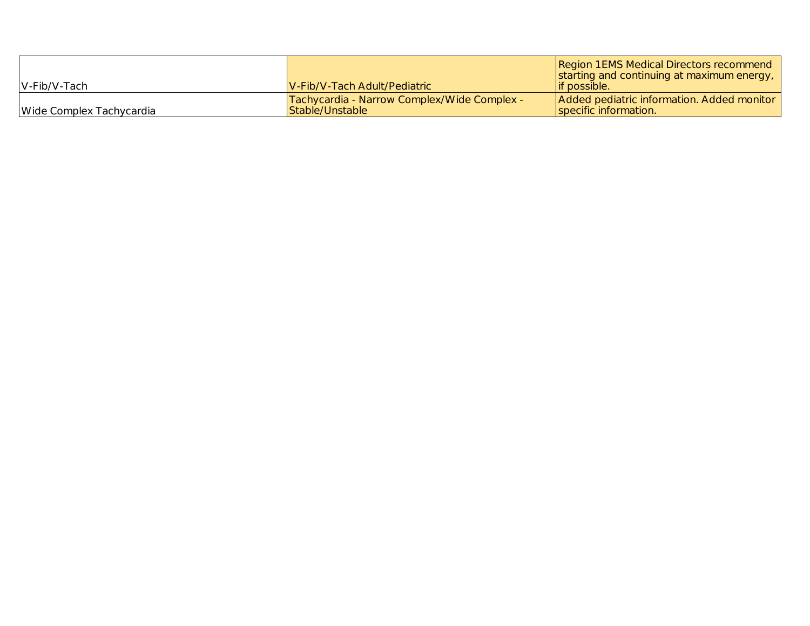| $IV$ -Fib/V-Tach         | <b>IV-Fib/V-Tach Adult/Pediatric</b>                           | Region 1 EMS Medical Directors recommend<br>starting and continuing at maximum energy,<br>lif possible. |
|--------------------------|----------------------------------------------------------------|---------------------------------------------------------------------------------------------------------|
| Wide Complex Tachycardia | Tachycardia - Narrow Complex/Wide Complex -<br>Stable/Unstable | Added pediatric information. Added monitor<br>specific information.                                     |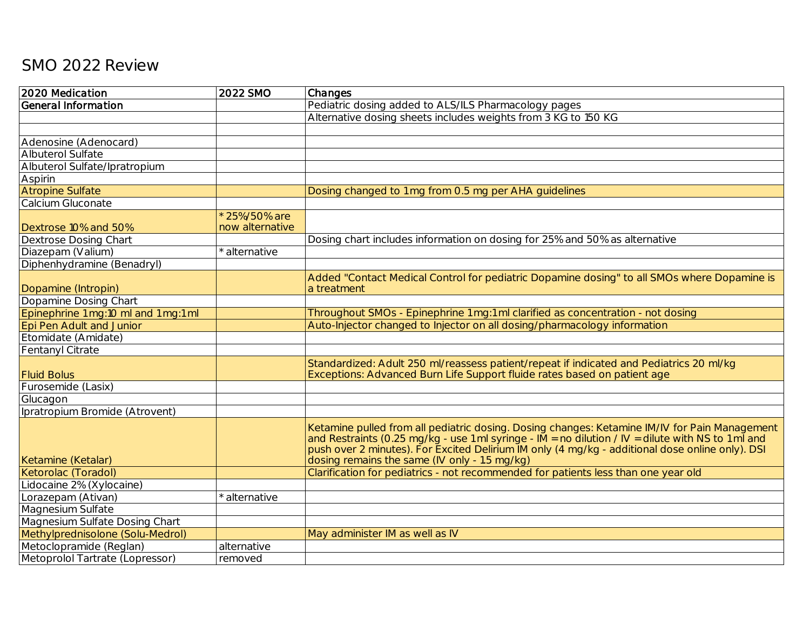## SMO 2022 Review

| 2020 Medication                      | 2022 SMO                         | Changes                                                                                                                                                                                                                                                                                                                                                          |
|--------------------------------------|----------------------------------|------------------------------------------------------------------------------------------------------------------------------------------------------------------------------------------------------------------------------------------------------------------------------------------------------------------------------------------------------------------|
| <b>General Information</b>           |                                  | Pediatric dosing added to ALS/ILS Pharmacology pages                                                                                                                                                                                                                                                                                                             |
|                                      |                                  | Alternative dosing sheets includes weights from 3 KG to 150 KG                                                                                                                                                                                                                                                                                                   |
|                                      |                                  |                                                                                                                                                                                                                                                                                                                                                                  |
| Adenosine (Adenocard)                |                                  |                                                                                                                                                                                                                                                                                                                                                                  |
| Albuterol Sulfate                    |                                  |                                                                                                                                                                                                                                                                                                                                                                  |
| Albuterol Sulfate/Ipratropium        |                                  |                                                                                                                                                                                                                                                                                                                                                                  |
| Aspirin                              |                                  |                                                                                                                                                                                                                                                                                                                                                                  |
| <b>Atropine Sulfate</b>              |                                  | Dosing changed to 1 mg from 0.5 mg per AHA guidelines                                                                                                                                                                                                                                                                                                            |
| Calcium Gluconate                    |                                  |                                                                                                                                                                                                                                                                                                                                                                  |
| Dextrose 10% and 50%                 | * 25%/50% are<br>now alternative |                                                                                                                                                                                                                                                                                                                                                                  |
| <b>Dextrose Dosing Chart</b>         |                                  | Dosing chart includes information on dosing for 25% and 50% as alternative                                                                                                                                                                                                                                                                                       |
| Diazepam (Valium)                    | alternative                      |                                                                                                                                                                                                                                                                                                                                                                  |
| Diphenhydramine (Benadryl)           |                                  |                                                                                                                                                                                                                                                                                                                                                                  |
|                                      |                                  | Added "Contact Medical Control for pediatric Dopamine dosing" to all SMOs where Dopamine is                                                                                                                                                                                                                                                                      |
| Dopamine (Intropin)                  |                                  | a treatment                                                                                                                                                                                                                                                                                                                                                      |
| Dopamine Dosing Chart                |                                  |                                                                                                                                                                                                                                                                                                                                                                  |
| Epinephrine 1 mg:10 ml and 1 mg:1 ml |                                  | Throughout SMOs - Epinephrine 1 mg:1 ml clarified as concentration - not dosing                                                                                                                                                                                                                                                                                  |
| Epi Pen Adult and Junior             |                                  | Auto-Injector changed to Injector on all dosing/pharmacology information                                                                                                                                                                                                                                                                                         |
| Etomidate (Amidate)                  |                                  |                                                                                                                                                                                                                                                                                                                                                                  |
| Fentanyl Citrate                     |                                  |                                                                                                                                                                                                                                                                                                                                                                  |
| <b>Fluid Bolus</b>                   |                                  | Standardized: Adult 250 ml/reassess patient/repeat if indicated and Pediatrics 20 ml/kg<br>Exceptions: Advanced Burn Life Support fluide rates based on patient age                                                                                                                                                                                              |
| Furosemide (Lasix)                   |                                  |                                                                                                                                                                                                                                                                                                                                                                  |
| Glucagon                             |                                  |                                                                                                                                                                                                                                                                                                                                                                  |
| Ipratropium Bromide (Atrovent)       |                                  |                                                                                                                                                                                                                                                                                                                                                                  |
| Ketamine (Ketalar)                   |                                  | Ketamine pulled from all pediatric dosing. Dosing changes: Ketamine IM/IV for Pain Management<br>and Restraints (0.25 mg/kg - use 1 ml syringe - $\overline{M}$ = no dilution / IV = dilute with NS to 1 ml and push over 2 minutes). For Excited Delirium IM only (4 mg/kg - additional dose online only). DSI<br>dosing remains the same (IV only - 1.5 mg/kg) |
| Ketorolac (Toradol)                  |                                  | Clarification for pediatrics - not recommended for patients less than one year old                                                                                                                                                                                                                                                                               |
| Lidocaine 2% (Xylocaine)             |                                  |                                                                                                                                                                                                                                                                                                                                                                  |
| Lorazepam (Ativan)                   | alternative                      |                                                                                                                                                                                                                                                                                                                                                                  |
| Magnesium Sulfate                    |                                  |                                                                                                                                                                                                                                                                                                                                                                  |
| Magnesium Sulfate Dosing Chart       |                                  |                                                                                                                                                                                                                                                                                                                                                                  |
| Methylprednisolone (Solu-Medrol)     |                                  | May administer IM as well as IV                                                                                                                                                                                                                                                                                                                                  |
| Metoclopramide (Reglan)              | alternative                      |                                                                                                                                                                                                                                                                                                                                                                  |
| Metoprolol Tartrate (Lopressor)      | removed                          |                                                                                                                                                                                                                                                                                                                                                                  |